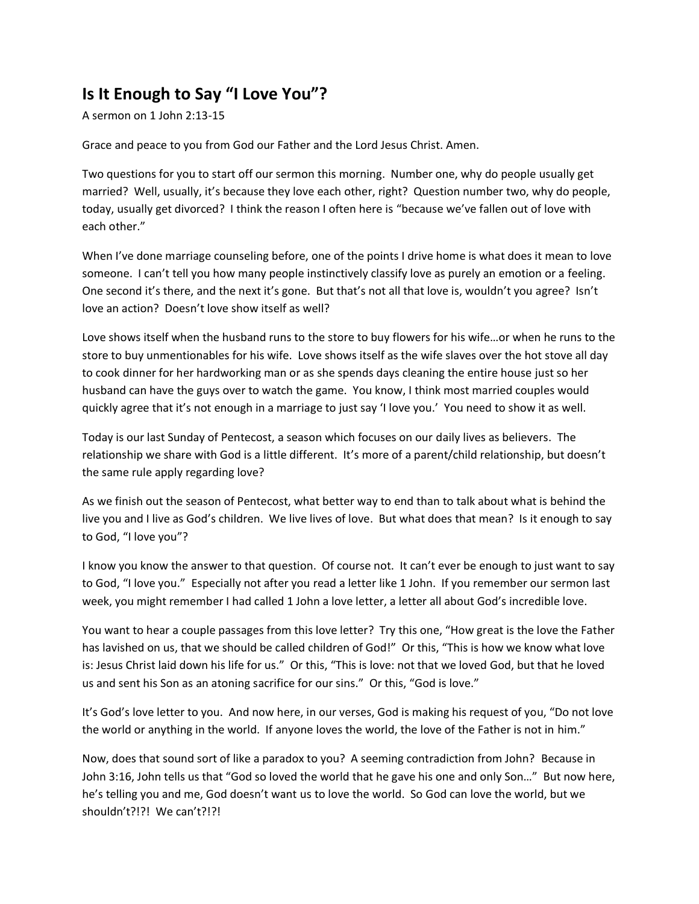## **Is It Enough to Say "I Love You"?**

A sermon on 1 John 2:13-15

Grace and peace to you from God our Father and the Lord Jesus Christ. Amen.

Two questions for you to start off our sermon this morning. Number one, why do people usually get married? Well, usually, it's because they love each other, right? Question number two, why do people, today, usually get divorced? I think the reason I often here is "because we've fallen out of love with each other."

When I've done marriage counseling before, one of the points I drive home is what does it mean to love someone. I can't tell you how many people instinctively classify love as purely an emotion or a feeling. One second it's there, and the next it's gone. But that's not all that love is, wouldn't you agree? Isn't love an action? Doesn't love show itself as well?

Love shows itself when the husband runs to the store to buy flowers for his wife…or when he runs to the store to buy unmentionables for his wife. Love shows itself as the wife slaves over the hot stove all day to cook dinner for her hardworking man or as she spends days cleaning the entire house just so her husband can have the guys over to watch the game. You know, I think most married couples would quickly agree that it's not enough in a marriage to just say 'I love you.' You need to show it as well.

Today is our last Sunday of Pentecost, a season which focuses on our daily lives as believers. The relationship we share with God is a little different. It's more of a parent/child relationship, but doesn't the same rule apply regarding love?

As we finish out the season of Pentecost, what better way to end than to talk about what is behind the live you and I live as God's children. We live lives of love. But what does that mean? Is it enough to say to God, "I love you"?

I know you know the answer to that question. Of course not. It can't ever be enough to just want to say to God, "I love you." Especially not after you read a letter like 1 John. If you remember our sermon last week, you might remember I had called 1 John a love letter, a letter all about God's incredible love.

You want to hear a couple passages from this love letter? Try this one, "How great is the love the Father has lavished on us, that we should be called children of God!" Or this, "This is how we know what love is: Jesus Christ laid down his life for us." Or this, "This is love: not that we loved God, but that he loved us and sent his Son as an atoning sacrifice for our sins." Or this, "God is love."

It's God's love letter to you. And now here, in our verses, God is making his request of you, "Do not love the world or anything in the world. If anyone loves the world, the love of the Father is not in him."

Now, does that sound sort of like a paradox to you? A seeming contradiction from John? Because in John 3:16, John tells us that "God so loved the world that he gave his one and only Son…" But now here, he's telling you and me, God doesn't want us to love the world. So God can love the world, but we shouldn't?!?! We can't?!?!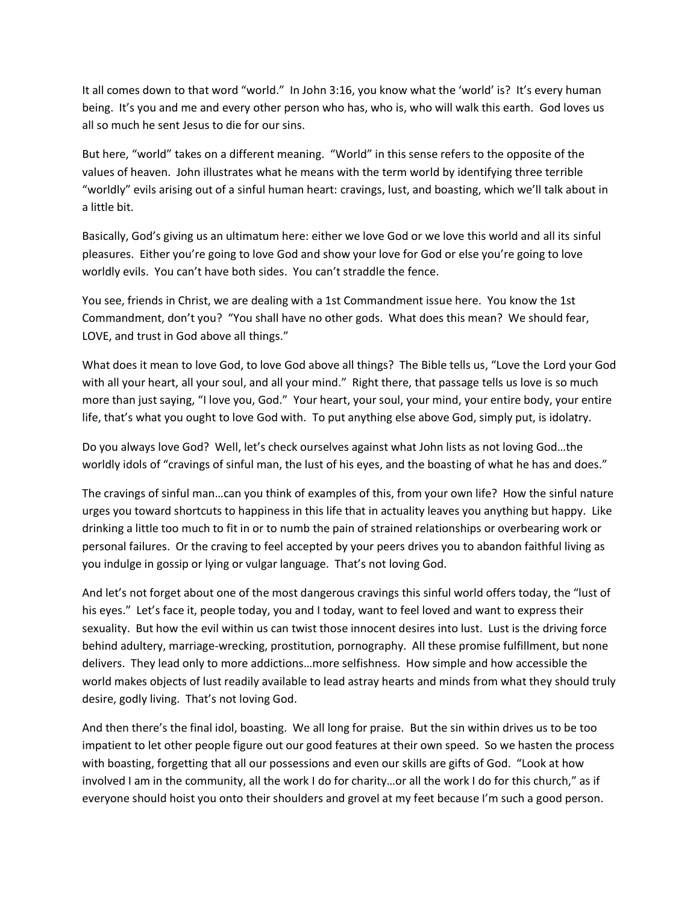It all comes down to that word "world." In John 3:16, you know what the 'world' is? It's every human being. It's you and me and every other person who has, who is, who will walk this earth. God loves us all so much he sent Jesus to die for our sins.

But here, "world" takes on a different meaning. "World" in this sense refers to the opposite of the values of heaven. John illustrates what he means with the term world by identifying three terrible "worldly" evils arising out of a sinful human heart: cravings, lust, and boasting, which we'll talk about in a little bit.

Basically, God's giving us an ultimatum here: either we love God or we love this world and all its sinful pleasures. Either you're going to love God and show your love for God or else you're going to love worldly evils. You can't have both sides. You can't straddle the fence.

You see, friends in Christ, we are dealing with a 1st Commandment issue here. You know the 1st Commandment, don't you? "You shall have no other gods. What does this mean? We should fear, LOVE, and trust in God above all things."

What does it mean to love God, to love God above all things? The Bible tells us, "Love the Lord your God with all your heart, all your soul, and all your mind." Right there, that passage tells us love is so much more than just saying, "I love you, God." Your heart, your soul, your mind, your entire body, your entire life, that's what you ought to love God with. To put anything else above God, simply put, is idolatry.

Do you always love God? Well, let's check ourselves against what John lists as not loving God…the worldly idols of "cravings of sinful man, the lust of his eyes, and the boasting of what he has and does."

The cravings of sinful man…can you think of examples of this, from your own life? How the sinful nature urges you toward shortcuts to happiness in this life that in actuality leaves you anything but happy. Like drinking a little too much to fit in or to numb the pain of strained relationships or overbearing work or personal failures. Or the craving to feel accepted by your peers drives you to abandon faithful living as you indulge in gossip or lying or vulgar language. That's not loving God.

And let's not forget about one of the most dangerous cravings this sinful world offers today, the "lust of his eyes." Let's face it, people today, you and I today, want to feel loved and want to express their sexuality. But how the evil within us can twist those innocent desires into lust. Lust is the driving force behind adultery, marriage-wrecking, prostitution, pornography. All these promise fulfillment, but none delivers. They lead only to more addictions…more selfishness. How simple and how accessible the world makes objects of lust readily available to lead astray hearts and minds from what they should truly desire, godly living. That's not loving God.

And then there's the final idol, boasting. We all long for praise. But the sin within drives us to be too impatient to let other people figure out our good features at their own speed. So we hasten the process with boasting, forgetting that all our possessions and even our skills are gifts of God. "Look at how involved I am in the community, all the work I do for charity…or all the work I do for this church," as if everyone should hoist you onto their shoulders and grovel at my feet because I'm such a good person.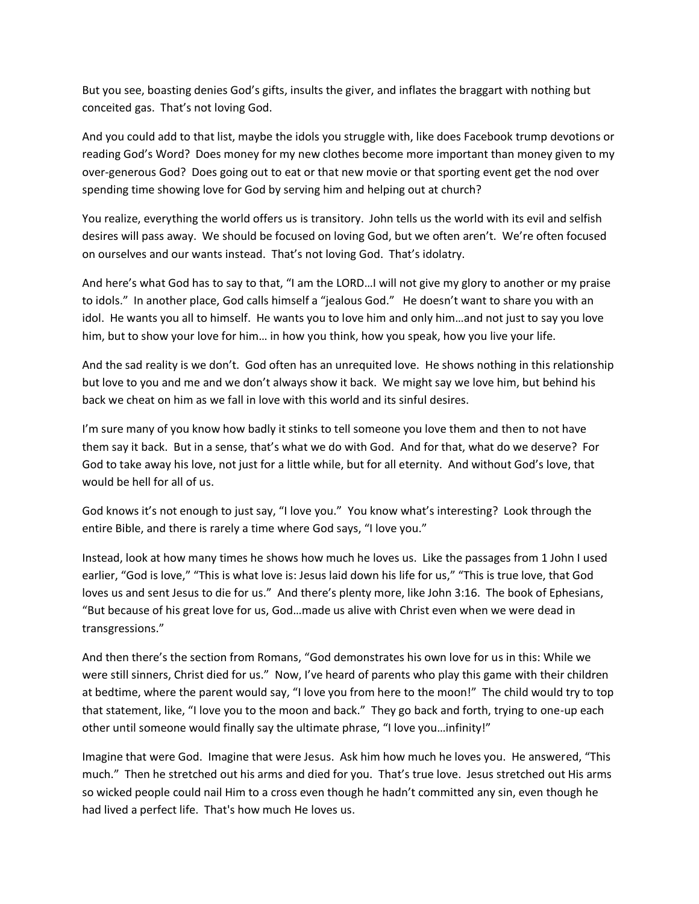But you see, boasting denies God's gifts, insults the giver, and inflates the braggart with nothing but conceited gas. That's not loving God.

And you could add to that list, maybe the idols you struggle with, like does Facebook trump devotions or reading God's Word? Does money for my new clothes become more important than money given to my over-generous God? Does going out to eat or that new movie or that sporting event get the nod over spending time showing love for God by serving him and helping out at church?

You realize, everything the world offers us is transitory. John tells us the world with its evil and selfish desires will pass away. We should be focused on loving God, but we often aren't. We're often focused on ourselves and our wants instead. That's not loving God. That's idolatry.

And here's what God has to say to that, "I am the LORD…I will not give my glory to another or my praise to idols." In another place, God calls himself a "jealous God." He doesn't want to share you with an idol. He wants you all to himself. He wants you to love him and only him…and not just to say you love him, but to show your love for him… in how you think, how you speak, how you live your life.

And the sad reality is we don't. God often has an unrequited love. He shows nothing in this relationship but love to you and me and we don't always show it back. We might say we love him, but behind his back we cheat on him as we fall in love with this world and its sinful desires.

I'm sure many of you know how badly it stinks to tell someone you love them and then to not have them say it back. But in a sense, that's what we do with God. And for that, what do we deserve? For God to take away his love, not just for a little while, but for all eternity. And without God's love, that would be hell for all of us.

God knows it's not enough to just say, "I love you." You know what's interesting? Look through the entire Bible, and there is rarely a time where God says, "I love you."

Instead, look at how many times he shows how much he loves us. Like the passages from 1 John I used earlier, "God is love," "This is what love is: Jesus laid down his life for us," "This is true love, that God loves us and sent Jesus to die for us." And there's plenty more, like John 3:16. The book of Ephesians, "But because of his great love for us, God…made us alive with Christ even when we were dead in transgressions."

And then there's the section from Romans, "God demonstrates his own love for us in this: While we were still sinners, Christ died for us." Now, I've heard of parents who play this game with their children at bedtime, where the parent would say, "I love you from here to the moon!" The child would try to top that statement, like, "I love you to the moon and back." They go back and forth, trying to one-up each other until someone would finally say the ultimate phrase, "I love you…infinity!"

Imagine that were God. Imagine that were Jesus. Ask him how much he loves you. He answered, "This much." Then he stretched out his arms and died for you. That's true love. Jesus stretched out His arms so wicked people could nail Him to a cross even though he hadn't committed any sin, even though he had lived a perfect life. That's how much He loves us.